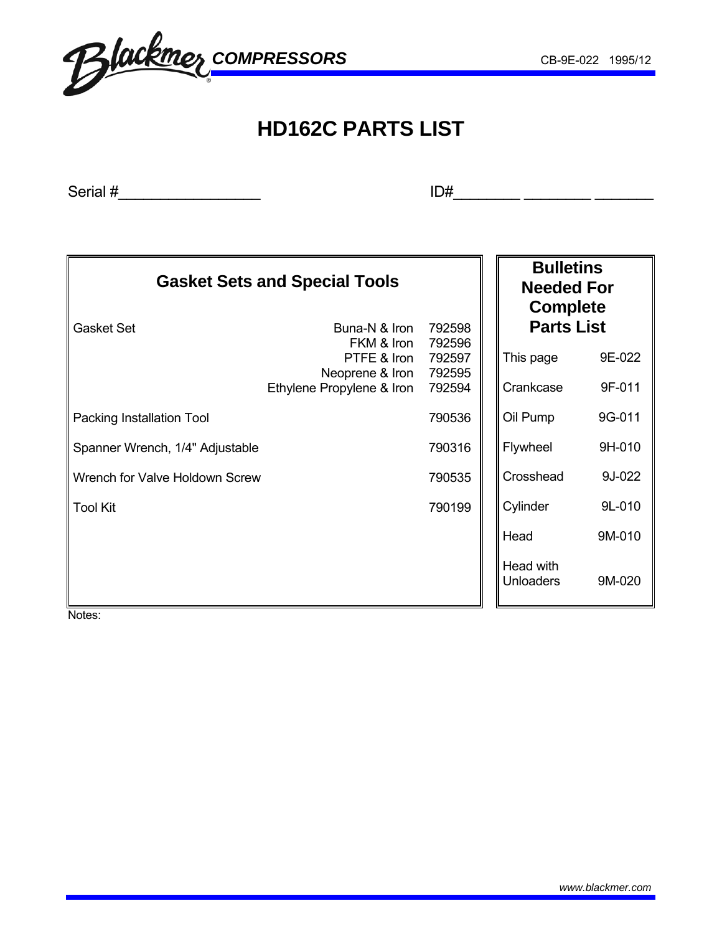# **HD162C PARTS LIST**

Serial #\_\_\_\_\_\_\_\_\_\_\_\_\_\_\_\_\_ ID#\_\_\_\_\_\_\_\_ \_\_\_\_\_\_\_\_ \_\_\_\_\_\_\_

| <b>Gasket Sets and Special Tools</b> |                                              | <b>Bulletins</b><br><b>Needed For</b><br><b>Complete</b> |                               |        |
|--------------------------------------|----------------------------------------------|----------------------------------------------------------|-------------------------------|--------|
| <b>Gasket Set</b>                    | <b>Parts List</b>                            |                                                          |                               |        |
|                                      | FKM & Iron<br>PTFE & Iron<br>Neoprene & Iron | 792596<br>792597<br>792595                               | This page                     | 9E-022 |
|                                      | Ethylene Propylene & Iron                    | 792594                                                   | Crankcase                     | 9F-011 |
| Packing Installation Tool            |                                              | 790536                                                   | Oil Pump                      | 9G-011 |
| Spanner Wrench, 1/4" Adjustable      |                                              | 790316                                                   | Flywheel                      | 9H-010 |
| Wrench for Valve Holdown Screw       |                                              | 790535                                                   | Crosshead                     | 9J-022 |
| Tool Kit                             |                                              | 790199                                                   | Cylinder                      | 9L-010 |
|                                      |                                              |                                                          | Head                          | 9M-010 |
|                                      |                                              |                                                          | Head with<br><b>Unloaders</b> | 9M-020 |

Notes: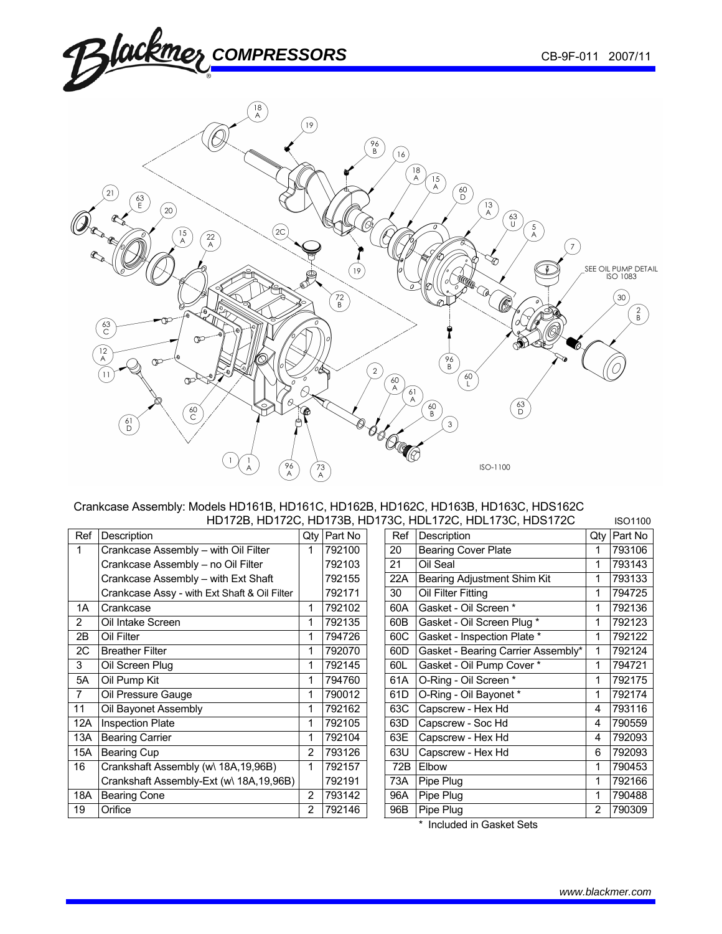

#### Crankcase Assembly: Models HD161B, HD161C, HD162B, HD162C, HD163B, HD163C, HDS162C HD172B, HD172C, HD173B, HD173C, HDL172C, HDL173C, HDS172C ISO1100

| Crankcase Assembly - with Oil Filter<br><b>Bearing Cover Plate</b><br>792100<br>20<br>1<br>Oil Seal<br>792103<br>21<br>Crankcase Assembly - no Oil Filter<br>1<br>792155<br>Bearing Adjustment Shim Kit<br>Crankcase Assembly - with Ext Shaft<br>22A<br>Oil Filter Fitting<br>30<br>Crankcase Assy - with Ext Shaft & Oil Filter<br>792171<br>1<br>Gasket - Oil Screen *<br>Crankcase<br>792102<br>60A<br>1A<br>1<br>Gasket - Oil Screen Plug *<br>2<br>Oil Intake Screen<br>792135<br>60B<br>1<br>Gasket - Inspection Plate *<br>2B<br>Oil Filter<br>794726<br>60C<br>1<br>Gasket - Bearing Carrier Assembly*<br>2C<br><b>Breather Filter</b><br>792070<br>60 <sub>D</sub><br>1<br>3<br>Gasket - Oil Pump Cover *<br>792145<br>60L<br>Oil Screen Plug<br>O-Ring - Oil Screen *<br>5A<br>Oil Pump Kit<br>61A<br>794760<br>1<br>$\overline{7}$<br>Oil Pressure Gauge<br>O-Ring - Oil Bayonet *<br>790012<br>61D<br>1<br>Oil Bayonet Assembly<br>63C<br>Capscrew - Hex Hd<br>11<br>792162<br>4<br>Capscrew - Soc Hd<br>12A<br><b>Inspection Plate</b><br>792105<br>63D<br>4<br><b>Bearing Carrier</b><br>Capscrew - Hex Hd<br>792104<br>63E<br>13A<br>4<br>793126<br>15A<br><b>Bearing Cup</b><br>$\overline{2}$<br>63U<br>Capscrew - Hex Hd<br>6<br>16<br>Elbow<br>72B<br>Crankshaft Assembly (w) 18A, 19, 96B)<br>792157<br>Crankshaft Assembly-Ext (w\ 18A, 19,96B)<br>Pipe Plug<br>792191<br>73A<br>1<br><b>Bearing Cone</b><br>$\overline{2}$<br>793142<br>Pipe Plug<br>18A<br>96A<br>1<br>Pipe Plug<br>19<br>Orifice<br>96B<br>2<br>$\overline{2}$<br>792146 | Ref | Description | Qty | Part No | Ref | Description | Qty | Part No |
|-------------------------------------------------------------------------------------------------------------------------------------------------------------------------------------------------------------------------------------------------------------------------------------------------------------------------------------------------------------------------------------------------------------------------------------------------------------------------------------------------------------------------------------------------------------------------------------------------------------------------------------------------------------------------------------------------------------------------------------------------------------------------------------------------------------------------------------------------------------------------------------------------------------------------------------------------------------------------------------------------------------------------------------------------------------------------------------------------------------------------------------------------------------------------------------------------------------------------------------------------------------------------------------------------------------------------------------------------------------------------------------------------------------------------------------------------------------------------------------------------------------------------------------------------------------------|-----|-------------|-----|---------|-----|-------------|-----|---------|
|                                                                                                                                                                                                                                                                                                                                                                                                                                                                                                                                                                                                                                                                                                                                                                                                                                                                                                                                                                                                                                                                                                                                                                                                                                                                                                                                                                                                                                                                                                                                                                   |     |             |     |         |     |             |     | 793106  |
|                                                                                                                                                                                                                                                                                                                                                                                                                                                                                                                                                                                                                                                                                                                                                                                                                                                                                                                                                                                                                                                                                                                                                                                                                                                                                                                                                                                                                                                                                                                                                                   |     |             |     |         |     |             |     | 793143  |
|                                                                                                                                                                                                                                                                                                                                                                                                                                                                                                                                                                                                                                                                                                                                                                                                                                                                                                                                                                                                                                                                                                                                                                                                                                                                                                                                                                                                                                                                                                                                                                   |     |             |     |         |     |             |     | 793133  |
|                                                                                                                                                                                                                                                                                                                                                                                                                                                                                                                                                                                                                                                                                                                                                                                                                                                                                                                                                                                                                                                                                                                                                                                                                                                                                                                                                                                                                                                                                                                                                                   |     |             |     |         |     |             |     | 794725  |
|                                                                                                                                                                                                                                                                                                                                                                                                                                                                                                                                                                                                                                                                                                                                                                                                                                                                                                                                                                                                                                                                                                                                                                                                                                                                                                                                                                                                                                                                                                                                                                   |     |             |     |         |     |             |     | 792136  |
|                                                                                                                                                                                                                                                                                                                                                                                                                                                                                                                                                                                                                                                                                                                                                                                                                                                                                                                                                                                                                                                                                                                                                                                                                                                                                                                                                                                                                                                                                                                                                                   |     |             |     |         |     |             |     | 792123  |
|                                                                                                                                                                                                                                                                                                                                                                                                                                                                                                                                                                                                                                                                                                                                                                                                                                                                                                                                                                                                                                                                                                                                                                                                                                                                                                                                                                                                                                                                                                                                                                   |     |             |     |         |     |             |     | 792122  |
|                                                                                                                                                                                                                                                                                                                                                                                                                                                                                                                                                                                                                                                                                                                                                                                                                                                                                                                                                                                                                                                                                                                                                                                                                                                                                                                                                                                                                                                                                                                                                                   |     |             |     |         |     |             |     | 792124  |
|                                                                                                                                                                                                                                                                                                                                                                                                                                                                                                                                                                                                                                                                                                                                                                                                                                                                                                                                                                                                                                                                                                                                                                                                                                                                                                                                                                                                                                                                                                                                                                   |     |             |     |         |     |             |     | 794721  |
|                                                                                                                                                                                                                                                                                                                                                                                                                                                                                                                                                                                                                                                                                                                                                                                                                                                                                                                                                                                                                                                                                                                                                                                                                                                                                                                                                                                                                                                                                                                                                                   |     |             |     |         |     |             |     | 792175  |
|                                                                                                                                                                                                                                                                                                                                                                                                                                                                                                                                                                                                                                                                                                                                                                                                                                                                                                                                                                                                                                                                                                                                                                                                                                                                                                                                                                                                                                                                                                                                                                   |     |             |     |         |     |             |     | 792174  |
|                                                                                                                                                                                                                                                                                                                                                                                                                                                                                                                                                                                                                                                                                                                                                                                                                                                                                                                                                                                                                                                                                                                                                                                                                                                                                                                                                                                                                                                                                                                                                                   |     |             |     |         |     |             |     | 793116  |
|                                                                                                                                                                                                                                                                                                                                                                                                                                                                                                                                                                                                                                                                                                                                                                                                                                                                                                                                                                                                                                                                                                                                                                                                                                                                                                                                                                                                                                                                                                                                                                   |     |             |     |         |     |             |     | 790559  |
|                                                                                                                                                                                                                                                                                                                                                                                                                                                                                                                                                                                                                                                                                                                                                                                                                                                                                                                                                                                                                                                                                                                                                                                                                                                                                                                                                                                                                                                                                                                                                                   |     |             |     |         |     |             |     | 792093  |
|                                                                                                                                                                                                                                                                                                                                                                                                                                                                                                                                                                                                                                                                                                                                                                                                                                                                                                                                                                                                                                                                                                                                                                                                                                                                                                                                                                                                                                                                                                                                                                   |     |             |     |         |     |             |     | 792093  |
|                                                                                                                                                                                                                                                                                                                                                                                                                                                                                                                                                                                                                                                                                                                                                                                                                                                                                                                                                                                                                                                                                                                                                                                                                                                                                                                                                                                                                                                                                                                                                                   |     |             |     |         |     |             |     | 790453  |
|                                                                                                                                                                                                                                                                                                                                                                                                                                                                                                                                                                                                                                                                                                                                                                                                                                                                                                                                                                                                                                                                                                                                                                                                                                                                                                                                                                                                                                                                                                                                                                   |     |             |     |         |     |             |     | 792166  |
|                                                                                                                                                                                                                                                                                                                                                                                                                                                                                                                                                                                                                                                                                                                                                                                                                                                                                                                                                                                                                                                                                                                                                                                                                                                                                                                                                                                                                                                                                                                                                                   |     |             |     |         |     |             |     | 790488  |
|                                                                                                                                                                                                                                                                                                                                                                                                                                                                                                                                                                                                                                                                                                                                                                                                                                                                                                                                                                                                                                                                                                                                                                                                                                                                                                                                                                                                                                                                                                                                                                   |     |             |     |         |     |             |     | 790309  |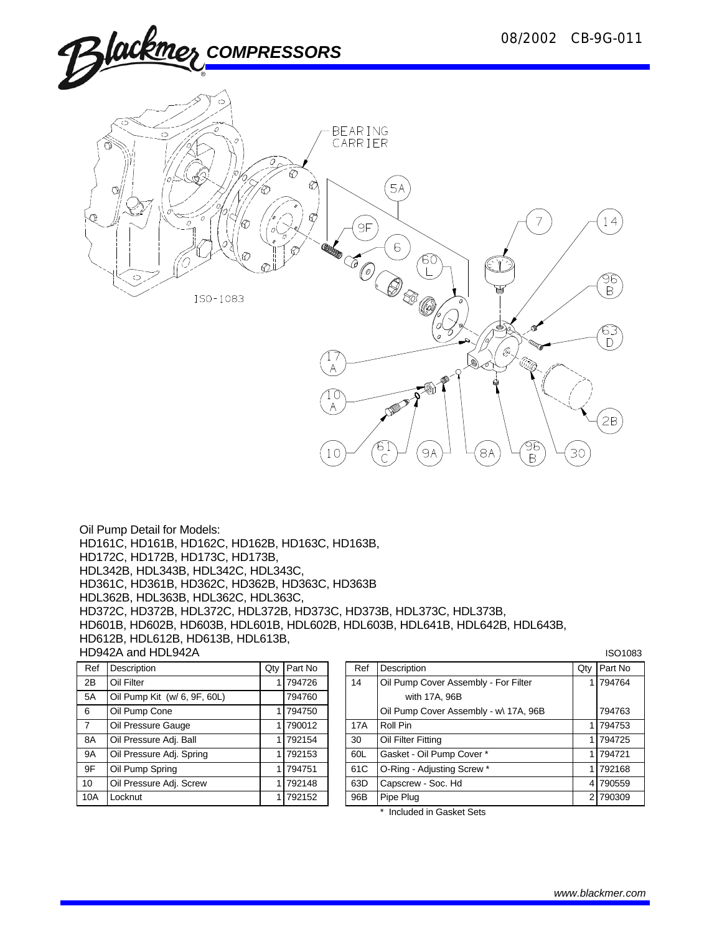14

96<br>B

63  $\mathsf{D}$ 

 $2B$ 



CONFIDENT ISO-1083  $\mathbb{Z}^2$  $\overline{A}$ **DESERVE** 96<br>B ा<br>९  $9A$ 8A 10 30

Oil Pump Detail for Models: HD161C, HD161B, HD162C, HD162B, HD163C, HD163B, HD172C, HD172B, HD173C, HD173B, HDL342B, HDL343B, HDL342C, HDL343C, HD361C, HD361B, HD362C, HD362B, HD363C, HD363B HDL362B, HDL363B, HDL362C, HDL363C, HD372C, HD372B, HDL372C, HDL372B, HD373C, HD373B, HDL373C, HDL373B, HD601B, HD602B, HD603B, HDL601B, HDL602B, HDL603B, HDL641B, HDL642B, HDL643B, HD612B, HDL612B, HD613B, HDL613B, HD942A and HDL942A **ISO1083** ISO1083

| Ref            | Description                  | Qty | Part No | Ref        | Description          |
|----------------|------------------------------|-----|---------|------------|----------------------|
| 2B             | Oil Filter                   |     | 794726  | 14         | Oil Pump Cover Ass   |
| 5A             | Oil Pump Kit (w/ 6, 9F, 60L) |     | 794760  |            | with 17A, 96B        |
| 6              | Oil Pump Cone                |     | 794750  |            | Oil Pump Cover Ass   |
| $\overline{7}$ | Oil Pressure Gauge           |     | 790012  | <b>17A</b> | Roll Pin             |
| 8A             | Oil Pressure Adj. Ball       |     | 792154  | 30         | Oil Filter Fitting   |
| <b>9A</b>      | Oil Pressure Adj. Spring     |     | 792153  | 60L        | Gasket - Oil Pump C  |
| 9F             | Oil Pump Spring              |     | 794751  | 61C        | O-Ring - Adjusting S |
| 10             | Oil Pressure Adj. Screw      |     | 792148  | 63D        | Capscrew - Soc. Hd   |
| 10A            | Locknut                      |     | 792152  | 96B        | Pipe Plug            |
|                |                              |     |         |            |                      |

| Ref            | <b>Description</b>           | Qty | <b>Part No</b> | Ref | Description                           | Qty   Part No |
|----------------|------------------------------|-----|----------------|-----|---------------------------------------|---------------|
| 2B             | Oil Filter                   |     | 794726         | 14  | Oil Pump Cover Assembly - For Filter  | 1 794764      |
| 5A             | Oil Pump Kit (w/ 6, 9F, 60L) |     | 794760         |     | with 17A, 96B                         |               |
| 6              | Oil Pump Cone                |     | 794750         |     | Oil Pump Cover Assembly - w\ 17A, 96B | 794763        |
| $\overline{7}$ | Oil Pressure Gauge           |     | 790012         | 17A | Roll Pin                              | 1 794753      |
| 8A             | Oil Pressure Adj. Ball       |     | 792154         | 30  | Oil Filter Fitting                    | 1 794725      |
| 9A             | Oil Pressure Adj. Spring     |     | 792153         | 60L | Gasket - Oil Pump Cover *             | 1 794721      |
| 9F             | Oil Pump Spring              |     | 794751         | 61C | O-Ring - Adjusting Screw *            | 1 792168      |
| 10             | Oil Pressure Adj. Screw      |     | 792148         | 63D | Capscrew - Soc. Hd                    | 4 790559      |
| 10A            | Locknut                      |     | 792152         | 96B | Pipe Plug                             | 2 790309      |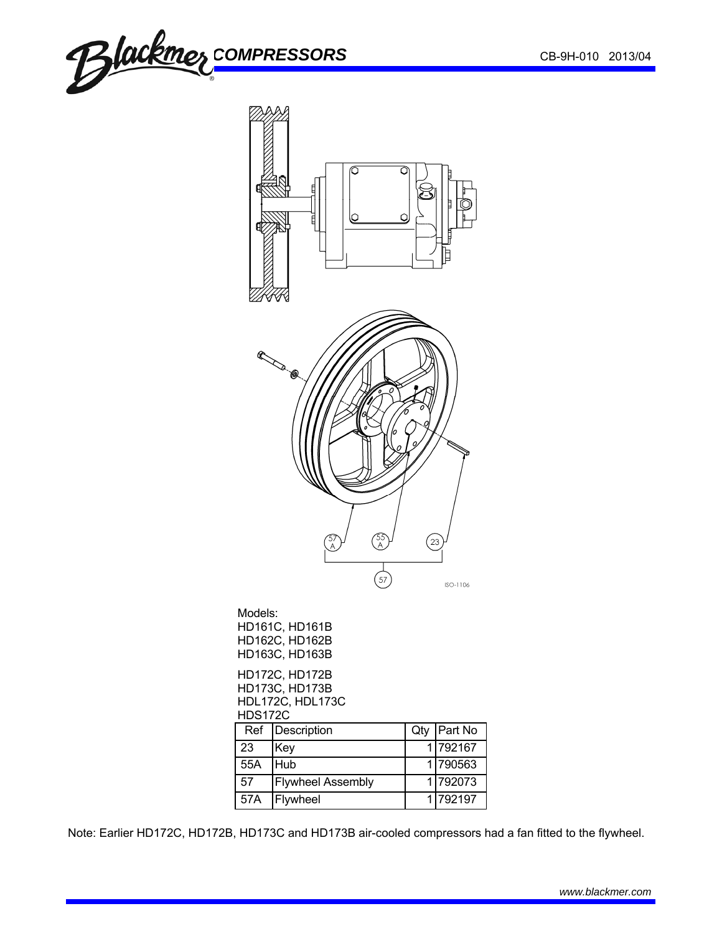



| 23  | Kev                      | 11/92167 |
|-----|--------------------------|----------|
| 55A | Hub                      | 1 790563 |
| 57  | <b>Flywheel Assembly</b> | 11792073 |
| 57A | Flywheel                 | 1 792197 |

Note: Earlier HD172C, HD172B, HD173C and HD173B air-cooled compressors had a fan fitted to the flywheel.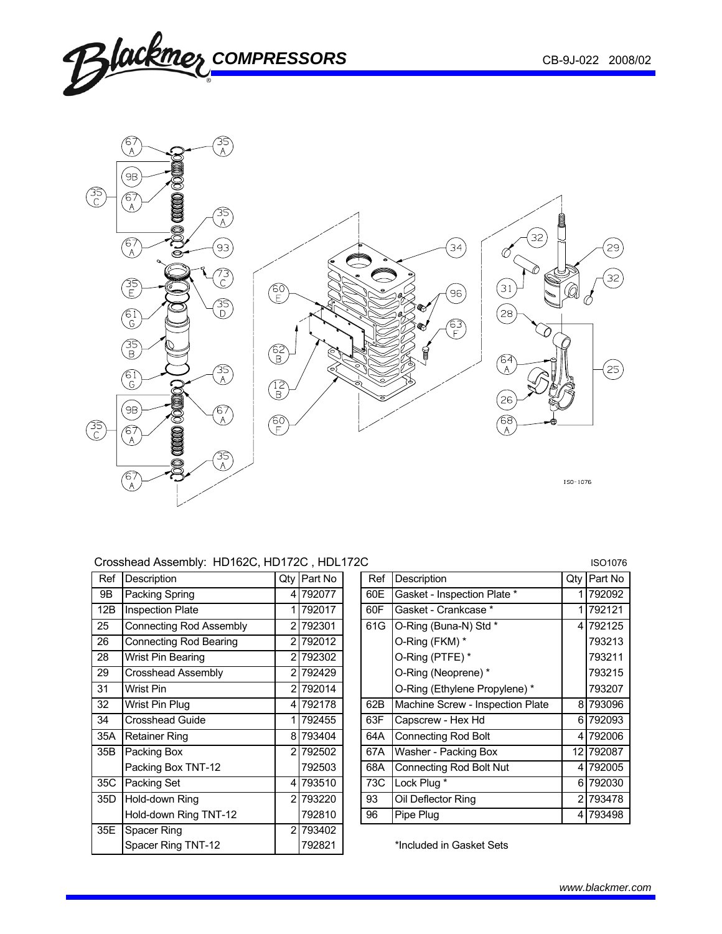

# Crosshead Assembly: HD162C, HD172C, HDL172C <br>ISO1076

| Ref | Description                    | Qty            | Part No  |
|-----|--------------------------------|----------------|----------|
| 9Β  | Packing Spring                 | 41             | 792077   |
| 12B | <b>Inspection Plate</b>        | 1              | 792017   |
| 25  | <b>Connecting Rod Assembly</b> | $\overline{2}$ | 792301   |
| 26  | <b>Connecting Rod Bearing</b>  | 2              | 792012   |
| 28  | Wrist Pin Bearing              | $\overline{2}$ | 792302   |
| 29  | Crosshead Assembly             | $\overline{2}$ | 792429   |
| 31  | <b>Wrist Pin</b>               | $\overline{2}$ | 792014   |
| 32  | Wrist Pin Plug                 | 41             | 792178   |
| 34  | <b>Crosshead Guide</b>         | 1              | 792455   |
| 35A | <b>Retainer Ring</b>           | 81             | 793404   |
| 35B | Packing Box                    |                | 2 792502 |
|     | Packing Box TNT-12             |                | 792503   |
| 35C | Packing Set                    | $\overline{4}$ | 793510   |
| 35D | Hold-down Ring                 | $\overline{2}$ | 793220   |
|     | Hold-down Ring TNT-12          |                | 792810   |
| 35E | Spacer Ring                    | 2 <sub>l</sub> | 793402   |
|     | Spacer Ring TNT-12             |                | 792821   |

| Crossilead Assembly. HD 1620, HD 1720 , HDL 1720<br>1501076 |  |        |                                                                                                                                                                     |     |                                  |             |           |
|-------------------------------------------------------------|--|--------|---------------------------------------------------------------------------------------------------------------------------------------------------------------------|-----|----------------------------------|-------------|-----------|
| Description                                                 |  |        |                                                                                                                                                                     | Ref | Description                      | Qtv         | Part No   |
| Packing Spring                                              |  |        |                                                                                                                                                                     | 60E | Gasket - Inspection Plate *      |             | 792092    |
| <b>Inspection Plate</b>                                     |  |        |                                                                                                                                                                     | 60F | Gasket - Crankcase *             |             | 792121    |
| <b>Connecting Rod Assembly</b>                              |  |        |                                                                                                                                                                     | 61G | O-Ring (Buna-N) Std *            |             | 4 792125  |
| <b>Connecting Rod Bearing</b>                               |  |        |                                                                                                                                                                     |     | O-Ring (FKM) *                   |             | 793213    |
| Wrist Pin Bearing                                           |  |        |                                                                                                                                                                     |     | O-Ring (PTFE) *                  |             | 793211    |
| <b>Crosshead Assembly</b>                                   |  |        |                                                                                                                                                                     |     | O-Ring (Neoprene) *              |             | 793215    |
| Wrist Pin                                                   |  |        |                                                                                                                                                                     |     | O-Ring (Ethylene Propylene) *    |             | 793207    |
| Wrist Pin Plug                                              |  |        |                                                                                                                                                                     | 62B | Machine Screw - Inspection Plate |             | 8 793096  |
| <b>Crosshead Guide</b>                                      |  |        |                                                                                                                                                                     | 63F | Capscrew - Hex Hd                |             | 6 792093  |
| <b>Retainer Ring</b>                                        |  |        |                                                                                                                                                                     | 64A | <b>Connecting Rod Bolt</b>       |             | 4 792006  |
| Packing Box                                                 |  |        |                                                                                                                                                                     | 67A | Washer - Packing Box             |             | 12 792087 |
| Packing Box TNT-12                                          |  | 792503 |                                                                                                                                                                     | 68A | <b>Connecting Rod Bolt Nut</b>   |             | 4 792005  |
| Packing Set                                                 |  |        |                                                                                                                                                                     | 73C |                                  |             | 6 792030  |
| Hold-down Ring                                              |  |        |                                                                                                                                                                     | 93  | Oil Deflector Ring               |             | 21793478  |
| Hold-down Ring TNT-12                                       |  | 792810 |                                                                                                                                                                     | 96  | Pipe Plug                        |             | 4 793498  |
|                                                             |  |        | Qty Part No<br>4 792077<br>792017<br>21792301<br>792012<br>21792302<br>21792429<br>2 792014<br>4 792178<br>1 792455<br>8 793404<br>21792502<br>4 793510<br>2 793220 |     |                                  | Lock Plug * |           |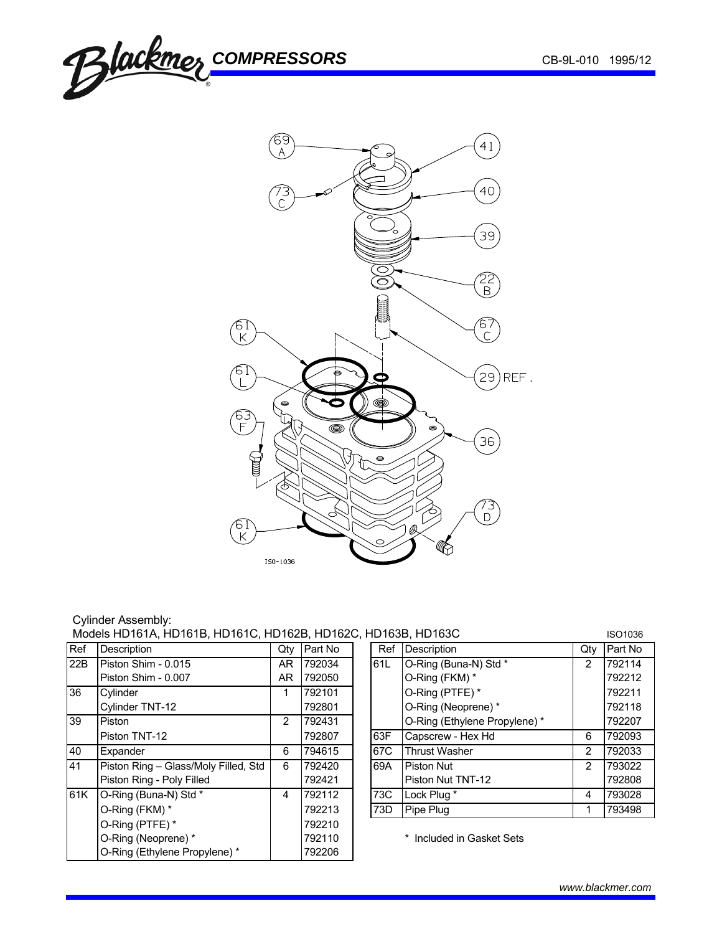



## Cylinder Assembly: Models HD161A, HD161B, HD161C, HD162B, HD162C, HD163B, HD163C ISO1036

| Ref | Description                          | Qty | Part No | Ref | Description                   | Qtv | Part No |
|-----|--------------------------------------|-----|---------|-----|-------------------------------|-----|---------|
| 22B | Piston Shim - 0.015                  | AR. | 792034  | 61L | O-Ring (Buna-N) Std *         | 2   | 792114  |
|     | Piston Shim - 0.007                  | AR. | 792050  |     | O-Ring (FKM) *                |     | 792212  |
| 36  | Cylinder                             |     | 792101  |     | O-Ring (PTFE) *               |     | 792211  |
|     | Cylinder TNT-12                      |     | 792801  |     | O-Ring (Neoprene) *           |     | 792118  |
| 39  | Piston                               | 2   | 792431  |     | O-Ring (Ethylene Propylene) * |     | 792207  |
|     | Piston TNT-12                        |     | 792807  | 63F | Capscrew - Hex Hd             | 6   | 792093  |
| 40  | Expander                             | 6   | 794615  | 67C | <b>Thrust Washer</b>          | 2   | 792033  |
| 41  | Piston Ring - Glass/Moly Filled, Std | 6   | 792420  | 69A | <b>Piston Nut</b>             | 2   | 793022  |
|     | Piston Ring - Poly Filled            |     | 792421  |     | Piston Nut TNT-12             |     | 792808  |
| 61K | O-Ring (Buna-N) Std *                | 4   | 792112  | 73C | Lock Plug *                   | 4   | 793028  |
|     | O-Ring (FKM) *                       |     | 792213  | 73D | Pipe Plug                     |     | 793498  |
|     | O-Ring (PTFE) *                      |     | 792210  |     |                               |     |         |
|     | O-Ring (Neoprene) *                  |     | 792110  |     | * Included in Gasket Sets     |     |         |
|     | O-Ring (Ethylene Propylene) *        |     | 792206  |     |                               |     |         |

|     | TU 103B. HU 103U              |                | ISO1036 |
|-----|-------------------------------|----------------|---------|
| Ref | Description                   | Qtv            | Part No |
| 61L | O-Ring (Buna-N) Std *         | $\overline{2}$ | 792114  |
|     | O-Ring (FKM) *                |                | 792212  |
|     | O-Ring (PTFE) *               |                | 792211  |
|     | O-Ring (Neoprene) *           |                | 792118  |
|     | O-Ring (Ethylene Propylene) * |                | 792207  |
| 63F | Capscrew - Hex Hd             | 6              | 792093  |
| 67C | <b>Thrust Washer</b>          | 2              | 792033  |
| 69A | Piston Nut                    | $\overline{2}$ | 793022  |
|     | Piston Nut TNT-12             |                | 792808  |
| 73C | Lock Plug *                   | 4              | 793028  |
| 73D | Pipe Plug                     |                | 793498  |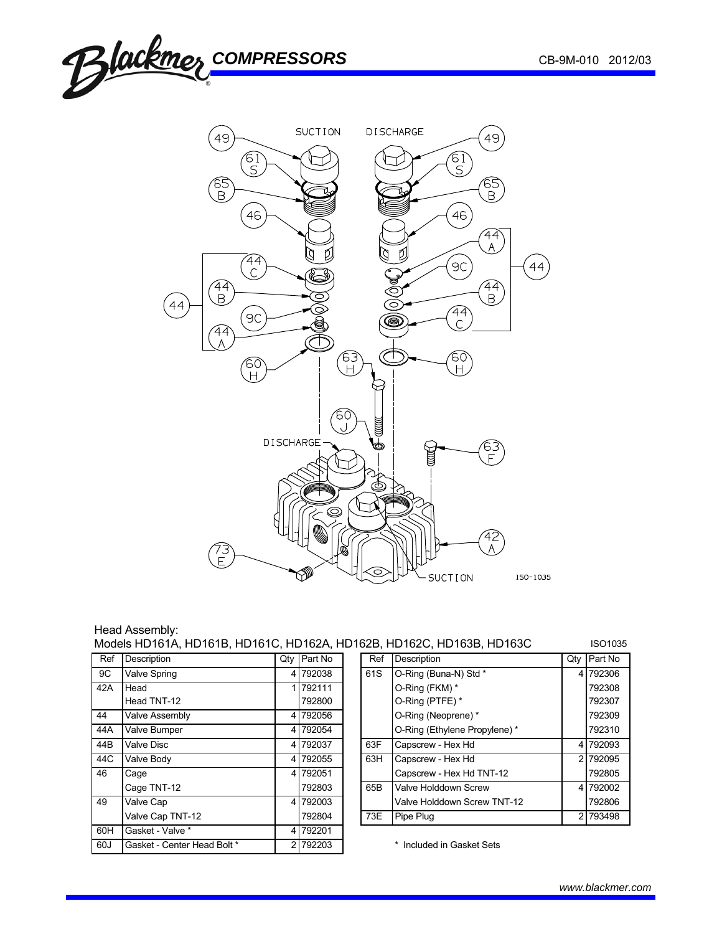

| Head Assembly:                                                        |                |
|-----------------------------------------------------------------------|----------------|
| Models HD161A, HD161B, HD161C, HD162A, HD162B, HD162C, HD163B, HD163C | <b>ISO1035</b> |

| Ref | Description                 | Qty | Part No  |
|-----|-----------------------------|-----|----------|
| 9C  | Valve Spring                | 4   | 792038   |
| 42A | Head                        |     | 792111   |
|     | Head TNT-12                 |     | 792800   |
| 44  | <b>Valve Assembly</b>       | 4   | 792056   |
| 44A | Valve Bumper                |     | 4 792054 |
| 44B | Valve Disc                  | 4   | 792037   |
| 44C | Valve Body                  | 4   | 792055   |
| 46  | Cage                        |     | 4 792051 |
|     | Cage TNT-12                 |     | 792803   |
| 49  | Valve Cap                   |     | 4 792003 |
|     | Valve Cap TNT-12            |     | 792804   |
| 60H | Gasket - Valve *            | 4   | 792201   |
| 60J | Gasket - Center Head Bolt * | 2   | 792203   |

| סטער שהאט וואסטלער אין דער אין דער אין דער אין דער אין דער דער אין דער דער אין דער דער דער דער דער דער דער דער |                    |  |             |  |     |                               | טטטו טטו |                |
|----------------------------------------------------------------------------------------------------------------|--------------------|--|-------------|--|-----|-------------------------------|----------|----------------|
| Ref                                                                                                            | <b>Description</b> |  | Qty Part No |  | Ref | <b>Description</b>            | Qtv      | <b>Part No</b> |
| 9C                                                                                                             | Valve Spring       |  | 4 792038    |  | 61S | O-Ring (Buna-N) Std *         |          | 4 792306       |
| 42A                                                                                                            | Head               |  | 1 792111    |  |     | O-Ring (FKM) *                |          | 792308         |
|                                                                                                                | Head TNT-12        |  | 792800      |  |     | O-Ring (PTFE) *               |          | 792307         |
| 44                                                                                                             | Valve Assembly     |  | 4 792056    |  |     | O-Ring (Neoprene)*            |          | 792309         |
| 44A                                                                                                            | Valve Bumper       |  | 4 792054    |  |     | O-Ring (Ethylene Propylene) * |          | 792310         |
| 44B                                                                                                            | Valve Disc         |  | 4 792037    |  | 63F | Capscrew - Hex Hd             |          | 4 792093       |
| 44C                                                                                                            | Valve Body         |  | 4 792055    |  | 63H | Capscrew - Hex Hd             |          | 2 792095       |
| 46                                                                                                             | Cage               |  | 4 792051    |  |     | Capscrew - Hex Hd TNT-12      |          | 792805         |
|                                                                                                                | Cage TNT-12        |  | 792803      |  | 65B | Valve Holddown Screw          |          | 4 792002       |
| 49                                                                                                             | Valve Cap          |  | 4 792003    |  |     | Valve Holddown Screw TNT-12   |          | 792806         |
|                                                                                                                | Valve Cap TNT-12   |  | 792804      |  | 73E | Pipe Plug                     |          | 2 793498       |
|                                                                                                                |                    |  |             |  |     |                               |          |                |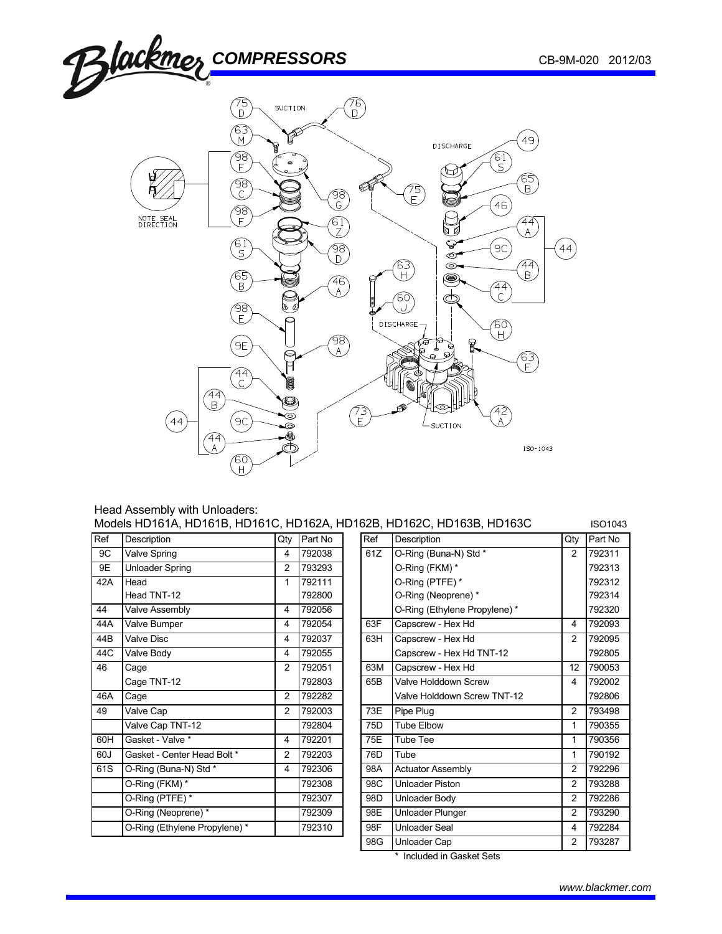

### Head Assembly with Unloaders: Models HD161A, HD161B, HD161C, HD162A, HD162B, HD162C, HD163B, HD163C ISO1043

| Ref | Description                  | Qty            | Part No |                              | Ref    | Description                  | Qty            | Part No |
|-----|------------------------------|----------------|---------|------------------------------|--------|------------------------------|----------------|---------|
| 9C  | Valve Spring                 | 4              | 792038  | O-Ring (Buna-N) Std *<br>61Z |        | 2                            | 792311         |         |
| 9E  | Unloader Spring              | 2              | 793293  |                              |        | O-Ring (FKM) *               |                | 792313  |
| 42A | Head                         | 1              | 792111  |                              |        | O-Ring (PTFE) *              |                | 792312  |
|     | Head TNT-12                  |                | 792800  |                              |        | O-Ring (Neoprene) *          |                | 792314  |
| 44  | Valve Assembly               | 4              | 792056  |                              |        | O-Ring (Ethylene Propylene)* |                | 792320  |
| 44A | Valve Bumper                 | 4              | 792054  |                              | 63F    | Capscrew - Hex Hd            | 4              | 792093  |
| 44B | Valve Disc                   | 4              | 792037  |                              | 63H    | Capscrew - Hex Hd            | 2              | 792095  |
| 44C | Valve Body                   | 4              | 792055  |                              |        | Capscrew - Hex Hd TNT-12     |                | 792805  |
| 46  | Cage                         | 2              | 792051  |                              | 63M    | Capscrew - Hex Hd            | 12             | 790053  |
|     | Cage TNT-12                  |                | 792803  |                              | 65B    | Valve Holddown Screw         | 4              | 792002  |
| 46A | Cage                         | 2              | 792282  |                              |        | Valve Holddown Screw TNT-12  |                | 792806  |
| 49  | Valve Cap                    | 2              | 792003  |                              | 73E    | Pipe Plug                    | 2              | 793498  |
|     | Valve Cap TNT-12             |                | 792804  |                              | 75D    | <b>Tube Elbow</b>            | 1              | 790355  |
| 60H | Gasket - Valve *             | 4              | 792201  |                              | 75E    | Tube Tee                     | 1              | 790356  |
| 60J | Gasket - Center Head Bolt *  | $\overline{c}$ | 792203  |                              | 76D    | Tube                         | 1              | 790192  |
| 61S | O-Ring (Buna-N) Std *        | 4              | 792306  |                              | 98A    | <b>Actuator Assembly</b>     | 2              | 792296  |
|     | O-Ring (FKM) *               |                | 792308  |                              | 98C    | Unloader Piston              | $\overline{2}$ | 793288  |
|     | O-Ring (PTFE) *              |                | 792307  |                              | 98D    | Unloader Body                | 2              | 792286  |
|     | O-Ring (Neoprene) *          |                | 792309  |                              | 98E    | Unloader Plunger             | 2              | 793290  |
|     | O-Ring (Ethylene Propylene)* |                | 792310  |                              | 98F    | Unloader Seal                | 4              | 792284  |
|     |                              |                |         |                              | $\sim$ | 111.122.122.022              | $\sim$         | 170002  |

| Ref | Description                  | Qty            | Part No | Ref             | Description                  | Qty            | Part No |
|-----|------------------------------|----------------|---------|-----------------|------------------------------|----------------|---------|
| 9C  | Valve Spring                 | 4              | 792038  | 61Z             | O-Ring (Buna-N) Std *        | 2              | 792311  |
| 9E  | <b>Unloader Spring</b>       | 2              | 793293  |                 | O-Ring (FKM) *               |                | 792313  |
| 42A | Head                         | 1              | 792111  |                 | O-Ring (PTFE)*               |                | 792312  |
|     | Head TNT-12                  |                | 792800  |                 | O-Ring (Neoprene)*           |                | 792314  |
| 44  | Valve Assembly               | 4              | 792056  |                 | O-Ring (Ethylene Propylene)* |                | 792320  |
| 44A | Valve Bumper                 | 4              | 792054  | 63F             | Capscrew - Hex Hd            | 4              | 792093  |
| 44B | Valve Disc                   | 4              | 792037  | 63H             | Capscrew - Hex Hd            | 2              | 792095  |
| 44C | Valve Body                   | 4              | 792055  |                 | Capscrew - Hex Hd TNT-12     |                | 792805  |
| 46  | Cage                         | 2              | 792051  | 63M             | Capscrew - Hex Hd            | 12             | 790053  |
|     | Cage TNT-12                  |                | 792803  | 65B             | Valve Holddown Screw         | 4              | 792002  |
| 46A | Cage                         | 2              | 792282  |                 | Valve Holddown Screw TNT-12  |                | 792806  |
| 49  | Valve Cap                    | 2              | 792003  | 73E             | Pipe Plug                    | 2              | 793498  |
|     | Valve Cap TNT-12             |                | 792804  | 75 <sub>D</sub> | <b>Tube Elbow</b>            | 1              | 790355  |
| 60H | Gasket - Valve *             | 4              | 792201  | 75E             | Tube Tee                     | 1              | 790356  |
| 60J | Gasket - Center Head Bolt *  | $\overline{2}$ | 792203  | 76 <sub>D</sub> | Tube                         | 1              | 790192  |
| 61S | O-Ring (Buna-N) Std *        | 4              | 792306  | 98A             | <b>Actuator Assembly</b>     | 2              | 792296  |
|     | O-Ring (FKM) *               |                | 792308  | 98C             | Unloader Piston              | 2              | 793288  |
|     | O-Ring (PTFE) *              |                | 792307  | 98D             | Unloader Body                | 2              | 792286  |
|     | O-Ring (Neoprene) *          |                | 792309  | 98E             | Unloader Plunger             | 2              | 793290  |
|     | O-Ring (Ethylene Propylene)* |                | 792310  | 98F             | Unloader Seal                | 4              | 792284  |
|     |                              |                |         | 98G             | Unloader Cap                 | $\overline{2}$ | 793287  |
|     |                              |                |         |                 |                              |                |         |